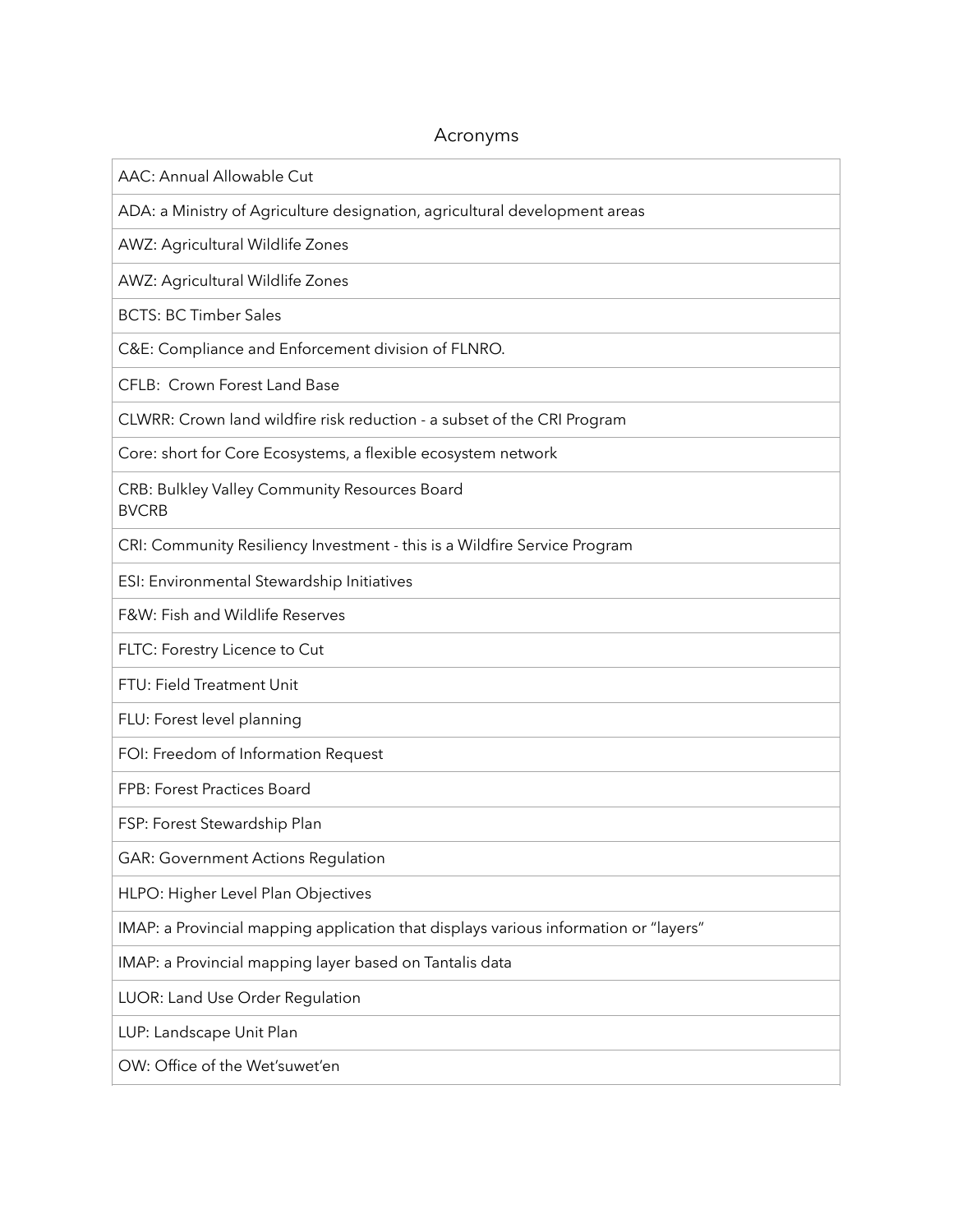## Acronyms

AAC: Annual Allowable Cut

ADA: a Ministry of Agriculture designation, agricultural development areas

AWZ: Agricultural Wildlife Zones

AWZ: Agricultural Wildlife Zones

BCTS: BC Timber Sales

C&E: Compliance and Enforcement division of FLNRO.

CFLB: Crown Forest Land Base

CLWRR: Crown land wildfire risk reduction - a subset of the CRI Program

Core: short for Core Ecosystems, a flexible ecosystem network

CRB: Bulkley Valley Community Resources Board BVCRB

CRI: Community Resiliency Investment - this is a Wildfire Service Program

ESI: Environmental Stewardship Initiatives

F&W: Fish and Wildlife Reserves

FLTC: Forestry Licence to Cut

FTU: Field Treatment Unit

FLU: Forest level planning

FOI: Freedom of Information Request

FPB: Forest Practices Board

FSP: Forest Stewardship Plan

GAR: Government Actions Regulation

HLPO: Higher Level Plan Objectives

IMAP: a Provincial mapping application that displays various information or "layers"

IMAP: a Provincial mapping layer based on Tantalis data

LUOR: Land Use Order Regulation

LUP: Landscape Unit Plan

OW: Office of the Wet'suwet'en